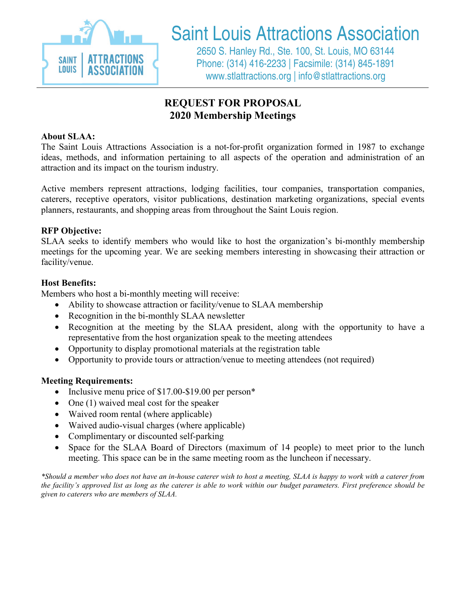

## Saint Louis Attractions Association

2650 S. Hanley Rd., Ste. 100, St. Louis, MO 63144 Phone: (314) 416-2233 | Facsimile: (314) 845-1891 www.stlattractions.org | info@stlattractions.org

### **REQUEST FOR PROPOSAL 2020 Membership Meetings**

### **About SLAA:**

The Saint Louis Attractions Association is a not-for-profit organization formed in 1987 to exchange ideas, methods, and information pertaining to all aspects of the operation and administration of an attraction and its impact on the tourism industry.

Active members represent attractions, lodging facilities, tour companies, transportation companies, caterers, receptive operators, visitor publications, destination marketing organizations, special events planners, restaurants, and shopping areas from throughout the Saint Louis region.

### **RFP Objective:**

SLAA seeks to identify members who would like to host the organization's bi-monthly membership meetings for the upcoming year. We are seeking members interesting in showcasing their attraction or facility/venue.

### **Host Benefits:**

Members who host a bi-monthly meeting will receive:

- Ability to showcase attraction or facility/venue to SLAA membership
- Recognition in the bi-monthly SLAA newsletter
- Recognition at the meeting by the SLAA president, along with the opportunity to have a representative from the host organization speak to the meeting attendees
- Opportunity to display promotional materials at the registration table
- Opportunity to provide tours or attraction/venue to meeting attendees (not required)

### **Meeting Requirements:**

- Inclusive menu price of \$17.00-\$19.00 per person\*
- One (1) waived meal cost for the speaker
- Waived room rental (where applicable)
- Waived audio-visual charges (where applicable)
- Complimentary or discounted self-parking
- Space for the SLAA Board of Directors (maximum of 14 people) to meet prior to the lunch meeting. This space can be in the same meeting room as the luncheon if necessary.

*\*Should a member who does not have an in-house caterer wish to host a meeting, SLAA is happy to work with a caterer from the facility's approved list as long as the caterer is able to work within our budget parameters. First preference should be given to caterers who are members of SLAA.*